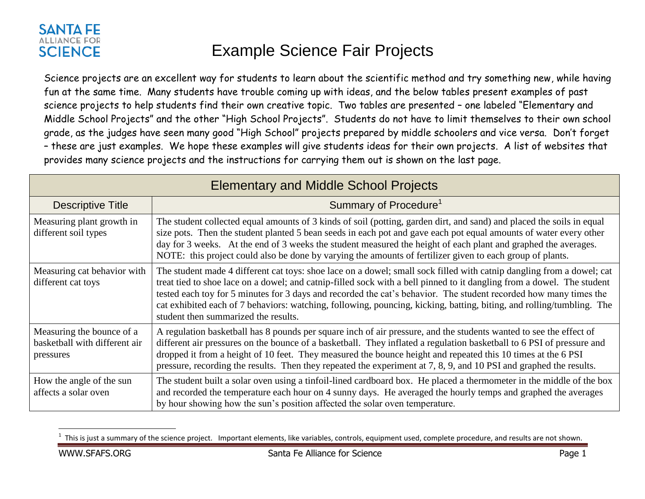## **SANTA FE ALLIANCE FOR SCIENCE**

## Example Science Fair Projects

Science projects are an excellent way for students to learn about the scientific method and try something new, while having fun at the same time. Many students have trouble coming up with ideas, and the below tables present examples of past science projects to help students find their own creative topic. Two tables are presented – one labeled "Elementary and Middle School Projects" and the other "High School Projects". Students do not have to limit themselves to their own school grade, as the judges have seen many good "High School" projects prepared by middle schoolers and vice versa. Don't forget – these are just examples. We hope these examples will give students ideas for their own projects. A list of websites that provides many science projects and the instructions for carrying them out is shown on the last page.

| <b>Elementary and Middle School Projects</b>                            |                                                                                                                                                                                                                                                                                                                                                                                                                                                                                                                                       |  |
|-------------------------------------------------------------------------|---------------------------------------------------------------------------------------------------------------------------------------------------------------------------------------------------------------------------------------------------------------------------------------------------------------------------------------------------------------------------------------------------------------------------------------------------------------------------------------------------------------------------------------|--|
| <b>Descriptive Title</b>                                                | Summary of Procedure <sup>1</sup>                                                                                                                                                                                                                                                                                                                                                                                                                                                                                                     |  |
| Measuring plant growth in<br>different soil types                       | The student collected equal amounts of 3 kinds of soil (potting, garden dirt, and sand) and placed the soils in equal<br>size pots. Then the student planted 5 bean seeds in each pot and gave each pot equal amounts of water every other<br>day for 3 weeks. At the end of 3 weeks the student measured the height of each plant and graphed the averages.<br>NOTE: this project could also be done by varying the amounts of fertilizer given to each group of plants.                                                             |  |
| Measuring cat behavior with<br>different cat toys                       | The student made 4 different cat toys: shoe lace on a dowel; small sock filled with catnip dangling from a dowel; cat<br>treat tied to shoe lace on a dowel; and catnip-filled sock with a bell pinned to it dangling from a dowel. The student<br>tested each toy for 5 minutes for 3 days and recorded the cat's behavior. The student recorded how many times the<br>cat exhibited each of 7 behaviors: watching, following, pouncing, kicking, batting, biting, and rolling/tumbling. The<br>student then summarized the results. |  |
| Measuring the bounce of a<br>basketball with different air<br>pressures | A regulation basketball has 8 pounds per square inch of air pressure, and the students wanted to see the effect of<br>different air pressures on the bounce of a basketball. They inflated a regulation basketball to 6 PSI of pressure and<br>dropped it from a height of 10 feet. They measured the bounce height and repeated this 10 times at the 6 PSI<br>pressure, recording the results. Then they repeated the experiment at 7, 8, 9, and 10 PSI and graphed the results.                                                     |  |
| How the angle of the sun<br>affects a solar oven                        | The student built a solar oven using a tinfoil-lined cardboard box. He placed a thermometer in the middle of the box<br>and recorded the temperature each hour on 4 sunny days. He averaged the hourly temps and graphed the averages<br>by hour showing how the sun's position affected the solar oven temperature.                                                                                                                                                                                                                  |  |

<sup>1</sup> This is just a summary of the science project. Important elements, like variables, controls, equipment used, complete procedure, and results are not shown.

 $\overline{a}$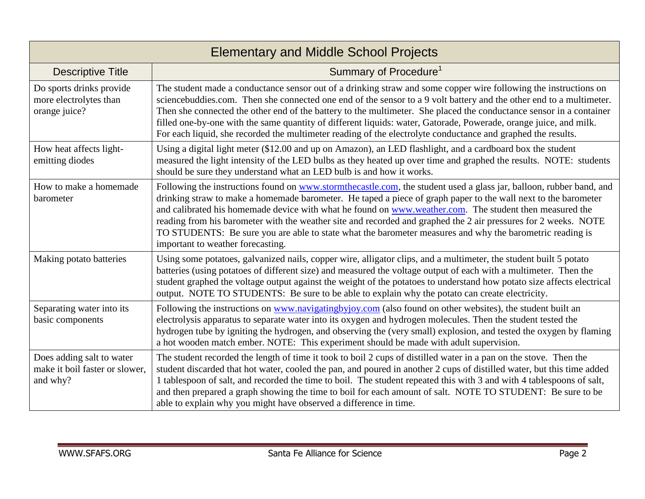| <b>Elementary and Middle School Projects</b>                            |                                                                                                                                                                                                                                                                                                                                                                                                                                                                                                                                                                                                                      |  |
|-------------------------------------------------------------------------|----------------------------------------------------------------------------------------------------------------------------------------------------------------------------------------------------------------------------------------------------------------------------------------------------------------------------------------------------------------------------------------------------------------------------------------------------------------------------------------------------------------------------------------------------------------------------------------------------------------------|--|
| <b>Descriptive Title</b>                                                | Summary of Procedure <sup>1</sup>                                                                                                                                                                                                                                                                                                                                                                                                                                                                                                                                                                                    |  |
| Do sports drinks provide<br>more electrolytes than<br>orange juice?     | The student made a conductance sensor out of a drinking straw and some copper wire following the instructions on<br>sciencebuddies.com. Then she connected one end of the sensor to a 9 volt battery and the other end to a multimeter.<br>Then she connected the other end of the battery to the multimeter. She placed the conductance sensor in a container<br>filled one-by-one with the same quantity of different liquids: water, Gatorade, Powerade, orange juice, and milk.<br>For each liquid, she recorded the multimeter reading of the electrolyte conductance and graphed the results.                  |  |
| How heat affects light-<br>emitting diodes                              | Using a digital light meter (\$12.00 and up on Amazon), an LED flashlight, and a cardboard box the student<br>measured the light intensity of the LED bulbs as they heated up over time and graphed the results. NOTE: students<br>should be sure they understand what an LED bulb is and how it works.                                                                                                                                                                                                                                                                                                              |  |
| How to make a homemade<br>barometer                                     | Following the instructions found on www.stormthecastle.com, the student used a glass jar, balloon, rubber band, and<br>drinking straw to make a homemade barometer. He taped a piece of graph paper to the wall next to the barometer<br>and calibrated his homemade device with what he found on www.weather.com. The student then measured the<br>reading from his barometer with the weather site and recorded and graphed the 2 air pressures for 2 weeks. NOTE<br>TO STUDENTS: Be sure you are able to state what the barometer measures and why the barometric reading is<br>important to weather forecasting. |  |
| Making potato batteries                                                 | Using some potatoes, galvanized nails, copper wire, alligator clips, and a multimeter, the student built 5 potato<br>batteries (using potatoes of different size) and measured the voltage output of each with a multimeter. Then the<br>student graphed the voltage output against the weight of the potatoes to understand how potato size affects electrical<br>output. NOTE TO STUDENTS: Be sure to be able to explain why the potato can create electricity.                                                                                                                                                    |  |
| Separating water into its<br>basic components                           | Following the instructions on www.navigatingbyjoy.com (also found on other websites), the student built an<br>electrolysis apparatus to separate water into its oxygen and hydrogen molecules. Then the student tested the<br>hydrogen tube by igniting the hydrogen, and observing the (very small) explosion, and tested the oxygen by flaming<br>a hot wooden match ember. NOTE: This experiment should be made with adult supervision.                                                                                                                                                                           |  |
| Does adding salt to water<br>make it boil faster or slower,<br>and why? | The student recorded the length of time it took to boil 2 cups of distilled water in a pan on the stove. Then the<br>student discarded that hot water, cooled the pan, and poured in another 2 cups of distilled water, but this time added<br>1 tablespoon of salt, and recorded the time to boil. The student repeated this with 3 and with 4 tablespoons of salt,<br>and then prepared a graph showing the time to boil for each amount of salt. NOTE TO STUDENT: Be sure to be<br>able to explain why you might have observed a difference in time.                                                              |  |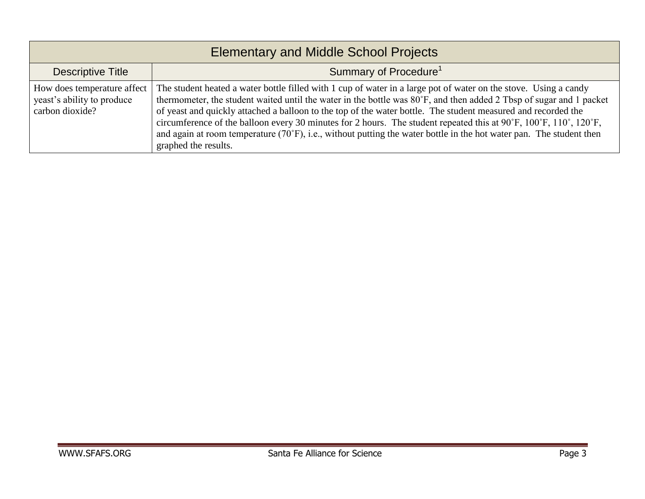| <b>Elementary and Middle School Projects</b>                                 |                                                                                                                                                                                                                                                                                                                                                                                                                                                                                                                                                                                                                                        |  |
|------------------------------------------------------------------------------|----------------------------------------------------------------------------------------------------------------------------------------------------------------------------------------------------------------------------------------------------------------------------------------------------------------------------------------------------------------------------------------------------------------------------------------------------------------------------------------------------------------------------------------------------------------------------------------------------------------------------------------|--|
| Descriptive Title                                                            | Summary of Procedure <sup>1</sup>                                                                                                                                                                                                                                                                                                                                                                                                                                                                                                                                                                                                      |  |
| How does temperature affect<br>yeast's ability to produce<br>carbon dioxide? | The student heated a water bottle filled with 1 cup of water in a large pot of water on the stove. Using a candy<br>thermometer, the student waited until the water in the bottle was 80°F, and then added 2 Tbsp of sugar and 1 packet<br>of yeast and quickly attached a balloon to the top of the water bottle. The student measured and recorded the<br>circumference of the balloon every 30 minutes for 2 hours. The student repeated this at 90°F, 100°F, 110°, 120°F,<br>and again at room temperature $(70^{\circ}F)$ , i.e., without putting the water bottle in the hot water pan. The student then<br>graphed the results. |  |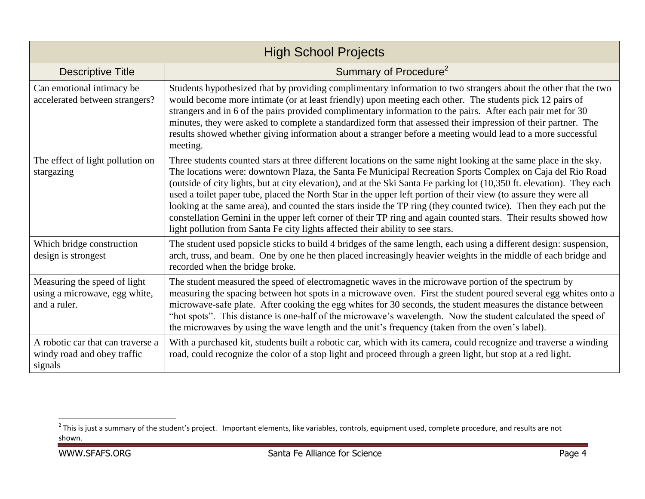| <b>High School Projects</b>                                                   |                                                                                                                                                                                                                                                                                                                                                                                                                                                                                                                                                                                                                                                                                                                                                                                                        |  |
|-------------------------------------------------------------------------------|--------------------------------------------------------------------------------------------------------------------------------------------------------------------------------------------------------------------------------------------------------------------------------------------------------------------------------------------------------------------------------------------------------------------------------------------------------------------------------------------------------------------------------------------------------------------------------------------------------------------------------------------------------------------------------------------------------------------------------------------------------------------------------------------------------|--|
| <b>Descriptive Title</b>                                                      | Summary of Procedure <sup>2</sup>                                                                                                                                                                                                                                                                                                                                                                                                                                                                                                                                                                                                                                                                                                                                                                      |  |
| Can emotional intimacy be<br>accelerated between strangers?                   | Students hypothesized that by providing complimentary information to two strangers about the other that the two<br>would become more intimate (or at least friendly) upon meeting each other. The students pick 12 pairs of<br>strangers and in 6 of the pairs provided complimentary information to the pairs. After each pair met for 30<br>minutes, they were asked to complete a standardized form that assessed their impression of their partner. The<br>results showed whether giving information about a stranger before a meeting would lead to a more successful<br>meeting.                                                                                                                                                                                                                 |  |
| The effect of light pollution on<br>stargazing                                | Three students counted stars at three different locations on the same night looking at the same place in the sky.<br>The locations were: downtown Plaza, the Santa Fe Municipal Recreation Sports Complex on Caja del Rio Road<br>(outside of city lights, but at city elevation), and at the Ski Santa Fe parking lot (10,350 ft. elevation). They each<br>used a toilet paper tube, placed the North Star in the upper left portion of their view (to assure they were all<br>looking at the same area), and counted the stars inside the TP ring (they counted twice). Then they each put the<br>constellation Gemini in the upper left corner of their TP ring and again counted stars. Their results showed how<br>light pollution from Santa Fe city lights affected their ability to see stars. |  |
| Which bridge construction<br>design is strongest                              | The student used popsicle sticks to build 4 bridges of the same length, each using a different design: suspension,<br>arch, truss, and beam. One by one he then placed increasingly heavier weights in the middle of each bridge and<br>recorded when the bridge broke.                                                                                                                                                                                                                                                                                                                                                                                                                                                                                                                                |  |
| Measuring the speed of light<br>using a microwave, egg white,<br>and a ruler. | The student measured the speed of electromagnetic waves in the microwave portion of the spectrum by<br>measuring the spacing between hot spots in a microwave oven. First the student poured several egg whites onto a<br>microwave-safe plate. After cooking the egg whites for 30 seconds, the student measures the distance between<br>"hot spots". This distance is one-half of the microwave's wavelength. Now the student calculated the speed of<br>the microwaves by using the wave length and the unit's frequency (taken from the oven's label).                                                                                                                                                                                                                                             |  |
| A robotic car that can traverse a<br>windy road and obey traffic<br>signals   | With a purchased kit, students built a robotic car, which with its camera, could recognize and traverse a winding<br>road, could recognize the color of a stop light and proceed through a green light, but stop at a red light.                                                                                                                                                                                                                                                                                                                                                                                                                                                                                                                                                                       |  |

This is just a summary of the student's project. Important elements, like variables, controls, equipment used, complete procedure, and results are not  $^2$  This is just a summary of the student's project. Important elemen shown.